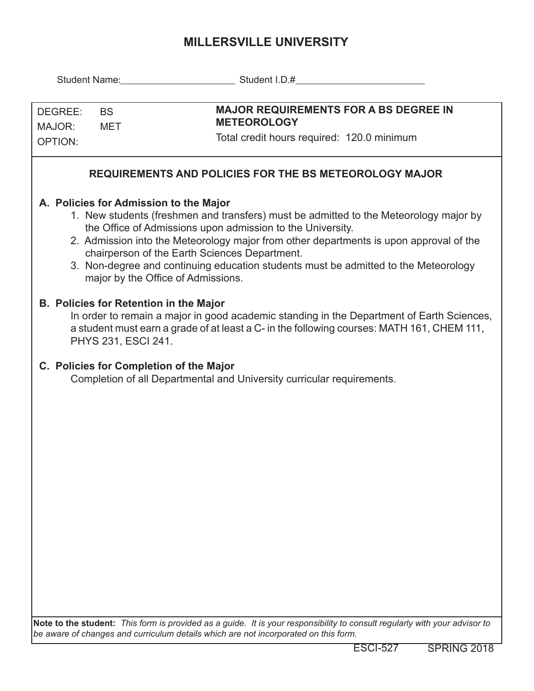## **MILLERSVILLE UNIVERSITY**

|                                                                                                                               | Student Name: Student I.D.# Containers and District Of Student I.D.# Containers and District Of Student I.D.#                                                                                                                                                                                                                        |
|-------------------------------------------------------------------------------------------------------------------------------|--------------------------------------------------------------------------------------------------------------------------------------------------------------------------------------------------------------------------------------------------------------------------------------------------------------------------------------|
| DEGREE:<br><b>BS</b><br>MAJOR:<br>MET<br><b>OPTION:</b>                                                                       | <b>MAJOR REQUIREMENTS FOR A BS DEGREE IN</b><br><b>METEOROLOGY</b><br>Total credit hours required: 120.0 minimum                                                                                                                                                                                                                     |
|                                                                                                                               | <b>REQUIREMENTS AND POLICIES FOR THE BS METEOROLOGY MAJOR</b>                                                                                                                                                                                                                                                                        |
| A. Policies for Admission to the Major<br>chairperson of the Earth Sciences Department.<br>major by the Office of Admissions. | 1. New students (freshmen and transfers) must be admitted to the Meteorology major by<br>the Office of Admissions upon admission to the University.<br>2. Admission into the Meteorology major from other departments is upon approval of the<br>3. Non-degree and continuing education students must be admitted to the Meteorology |
| <b>B. Policies for Retention in the Major</b><br>PHYS 231, ESCI 241.                                                          | In order to remain a major in good academic standing in the Department of Earth Sciences,<br>a student must earn a grade of at least a C- in the following courses: MATH 161, CHEM 111,                                                                                                                                              |
| C. Policies for Completion of the Major                                                                                       | Completion of all Departmental and University curricular requirements.                                                                                                                                                                                                                                                               |
|                                                                                                                               |                                                                                                                                                                                                                                                                                                                                      |
|                                                                                                                               |                                                                                                                                                                                                                                                                                                                                      |
|                                                                                                                               |                                                                                                                                                                                                                                                                                                                                      |
|                                                                                                                               |                                                                                                                                                                                                                                                                                                                                      |
|                                                                                                                               |                                                                                                                                                                                                                                                                                                                                      |
|                                                                                                                               | Note to the student: This form is provided as a guide. It is your responsibility to consult regularly with your advisor to                                                                                                                                                                                                           |

*be aware of changes and curriculum details which are not incorporated on this form.*